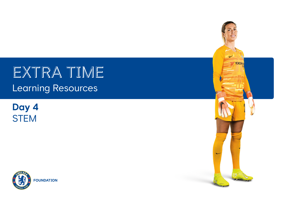# EXTRA TIME Learning Resources

## **Day 4 STEM**



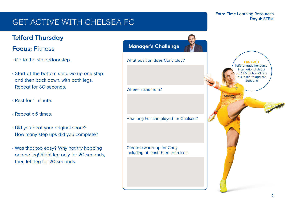## GET active with Chelsea fc

#### **Telford Thursday**

#### **Focus:** Fitness

- Go to the stairs/doorstep.
- Start at the bottom step. Go up one step and then back down, with both legs. Repeat for 30 seconds.
- Rest for 1 minute.
- Repeat x 5 times.
- Did you beat your original score? How many step ups did you complete?
- Was that too easy? Why not try hopping on one leg! Right leg only for 20 seconds, then left leg for 20 seconds.

#### **Manager's Challenge**

What position does Carly play?

Where is she from?

How long has she played for Chelsea?

Create a warm-up for Carly including at least three exercises. **Extra Time** Learning Resources **Day 4:** STEM

> **FUN FACT** Telford made her senior international debut on 11 March 2007 as a substitute against **Scotland**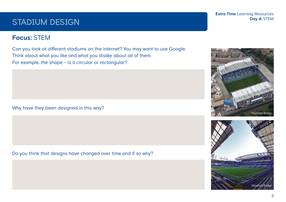## STADIUM DESIGN

#### **Focus:** STEM

Can you look at different stadiums on the internet? You may want to use Google. Think about what you like and what you dislike about all of them. For example, the shape – is it circular or rectangular?

Why have they been designed in this way?

Do you think that designs have changed over time and if so why?



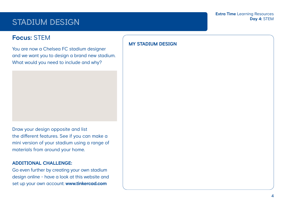## STADIUM DESIGN

#### **Focus:** STEM

You are now a Chelsea FC stadium designer and we want you to design a brand new stadium. What would you need to include and why?



Draw your design opposite and list the different features. See if you can make a mini version of your stadium using a range of materials from around your home.

#### **ADDITIONAL CHALLENGE:**

Go even further by creating your own stadium design online - have a look at this website and set up your own account: **www.tinkercad.com**

#### **MY STADIUM DESIGN**